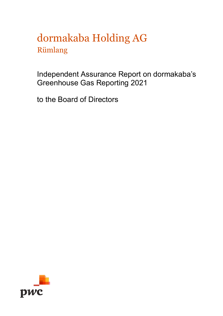# dormakaba Holding AG Rümlang

Independent Assurance Report on dormakaba's Greenhouse Gas Reporting 2021

to the Board of Directors

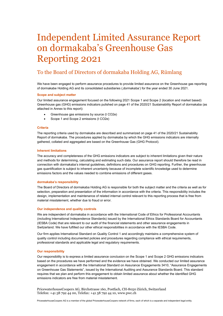# Independent Limited Assurance Report on dormakaba's Greenhouse Gas Reporting 2021

# To the Board of Directors of dormakaba Holding AG, Rümlang

We have been engaged to perform assurance procedures to provide limited assurance on the Greenhouse gas reporting of dormakabe Holding AG and its consolidated subsidiaries ('dormakaba') for the year ended 30 June 2021.

# **Scope and subject matter**

Our limited assurance engagement focused on the following 2021 Scope 1 and Scope 2 (location and market based) Greenhouse gas (GHG) emissions indicators pulished on page 41 of the 2020/21 Sustainability Report of dormakaba (as attached in Annex to this report):

- Greenhouse gas emissions by source (t CO2e)
- Scope 1 and Scope 2 emissions (t CO2e)

# **Criteria**

The reporting criteria used by dormakaba are described and summarized on page 41 of the 2020/21 Sustainability Report of dormakaba. The procedures applied by dormakaba by which the GHG emissions indicators are internally gathered, collated and aggregated are based on the Greenhouse Gas (GHG Protocol).

# **Inherent limitations**

The accuracy and completeness of the GHG emissions indicators are subject to inherent limitations given their nature and methods for determining, calculating and estimating such data. Our assurance report should therefore be read in connection with dormakaba's internal guidelines, definitions and procedures on GHG reporting. Further, the greenhouse gas quantification is subject to inherent uncertainty because of incomplete scientific knowledge used to determine emissions factors and the values needed to combine emissions of different gases.

# **dormakaba's responsibility**

The Board of Directors of dormakaba Holding AG is responsible for both the subject matter and the criteria as well as for selection, preparation and presentation of the information in accordance with the criteria. This responsibility includes the design, implementation and maintenance of related internal control relevant to this reporting process that is free from material misstatement, whether due to fraud or error.

# **Our independence and quality controls**

We are independent of dormakaba in accordance with the International Code of Ethics for Professional Accountants (including International Independence Standards) issued by the International Ethics Standards Board for Accountants (IESBA Code) that are relevant to our audit of the financial statements and other assurance engagements in Switzerland. We have fulfilled our other ethical responsibilities in accordance with the IESBA Code.

Our firm applies International Standard on Quality Control 1 and accordingly maintains a comprehensive system of quality control including documented policies and procedures regarding compliance with ethical requirements, professional standards and applicable legal and regulatory requirements.

#### **Our responsibility**

Our responsibility is to express a limited assurance conclusion on the Scope 1 and Scope 2 GHG emissions indicators based on the procedures we have performed and the evidence we have obtained. We conducted our limited assurance engagement in accordance with the International Standard on Assurance Engagements 3410, "Assurance Engagements on Greenhouse Gas Statements", issued by the International Auditing and Assurance Standards Board. This standard requires that we plan and perform this engagement to obtain limited assurance about whether the identified GHG emissions indicators are free from material misstatement.

PricewaterhouseCoopers AG, Birchstrasse 160, Postfach, CH-8050 Zürich, Switzerland Telefon: +41 58 792 44 00, Telefax: +41 58 792 44 10, www.pwc.ch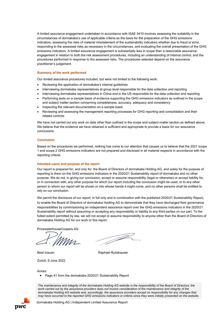A limited assurance engagement undertaken in accordance with ISAE 3410 involves assessing the suitability in the circumstances of dormakaba's use of applicable criteria as the basis for the preparation of the GHG emissions indicators, assessing the risks of material misstatement of the sustainability indicators whether due to fraud or error, responding to the assessed risks as necessary in the circumstances, and evaluating the overall presentation of the GHG emissions indicators. A limited assurance engagement is substantially less in scope than a reasonable assurance engagement in relation to both the risk assessment procedures, including an understanding of internal control, and the procedures performed in response to the assessed risks. The procedures selected depend on the assurance practitioner's judgement.

### **Summary of the work performed**

Our limited assurance procedures included, but were not limited to the following work:

- Reviewing the application of dormakaba's internal guidelines
- Interviewing dormakaba representatives at group level responsible for the data collection and reporting
- Interviewing dormakaba representatives in China and in the US responsible for the data collection and reporting
- Performing tests on a sample basis of evidence supporting the GHG emissions indicators as outlined in the scope and subject matter section concerning completeness, accuracy, adequacy and consistency
- Inspecting the relevant documentation on a sample basis
- Reviewing and assessing the management reporting processes for GHG reporting and consolidation and their related controls

We have not carried out any work on data other than outlined in the scope and subject matter section as defined above. We believe that the evidence we have obtained is sufficient and appropriate to provide a basis for our assurance conclusions.

# **Conclusion**

Based on the procedures we performed, nothing has come to our attention that causes us to believe that the 2021 scope 1 and scope 2 GHG emissions indicators are not prepared and disclosed in all material respects in accordance with the reporting criteria.

### **Intended users and purpose of the report**

Our report is prepared for, and only for, the Board of Directors of dormakaba Holding AG, and solely for the purpose of reporting to them on the GHG emissions indicators in the 2020/21 Sustainability report of dormakaba and no other purpose. We do not, in giving our conclusion, accept or assume responsibility (legal or otherwise) or accept liability for, or in connection with, any other purpose for which our report including the conclusion might be used, or to any other person to whom our report will be shown or into whose hands it might come, and no other persons shall be entitled to rely on our conclusion.

We permit the disclosure of our report, in full only and in combination with the published 2020/21 Sustainability Report, to enable the Board of Directors of dormakaba Hodling AG to demonstrate that they have discharged their governance responsibilities by commissioning an independent assurance report over the GHG emissions indicators in the 2020/21 Sustainability report without assuming or accepting any responsibility or liability to any third parties on our part. To the fullest extent permitted by law, we will not accept or assume responsibility to anyone other than the Board of Directors of dormakaba Holding AG for our work or this report.

J

PricewaterhouseCoopers AG

Beat Inauen **Raphael Rutishauser** Raphael Rutishauser

Zurich, 9 June 2022

Annex:

• Page 41 from the dormakaba 2020/21 Sustainability Report

*The maintenance and integrity of the dormakaba Holding AG website is the responsibility of the Board of Directors; the work carried out by the assurance providers does not involve consideration of the maintenance and integrity of the dormakaba Holding AG website and, accordingly, the assurance providers accept no responsibility for any changes that may have occurred to the reported GHG emissions indicators or criteria since they were initially presented on the website*.